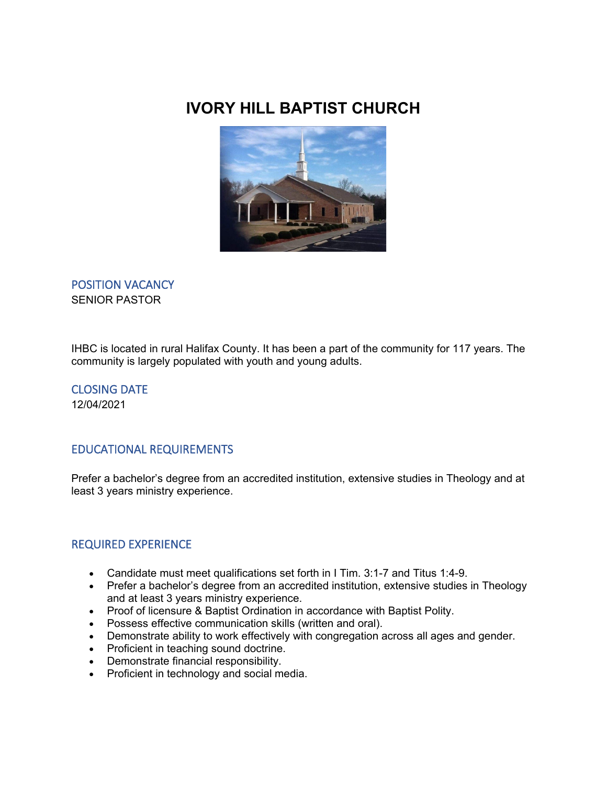# **IVORY HILL BAPTIST CHURCH**



POSITION VACANCY SENIOR PASTOR

IHBC is located in rural Halifax County. It has been a part of the community for 117 years. The community is largely populated with youth and young adults.

CLOSING DATE 12/04/2021

## EDUCATIONAL REQUIREMENTS

Prefer a bachelor's degree from an accredited institution, extensive studies in Theology and at least 3 years ministry experience.

## REQUIRED EXPERIENCE

- Candidate must meet qualifications set forth in I Tim. 3:1-7 and Titus 1:4-9.
- Prefer a bachelor's degree from an accredited institution, extensive studies in Theology and at least 3 years ministry experience.
- Proof of licensure & Baptist Ordination in accordance with Baptist Polity.
- Possess effective communication skills (written and oral).
- Demonstrate ability to work effectively with congregation across all ages and gender.
- Proficient in teaching sound doctrine.
- Demonstrate financial responsibility.
- Proficient in technology and social media.